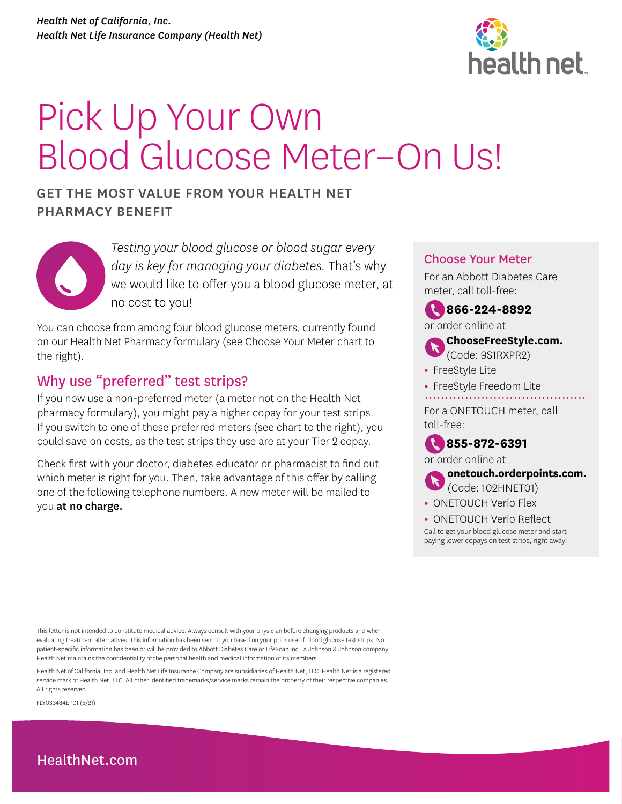

# Pick Up Your Own Blood Glucose Meter–On Us!

# GET THE MOST VALUE FROM YOUR HEALTH NET PHARMACY BENEFIT



*Testing your blood glucose or blood sugar every day is key for managing your diabetes.* That's why we would like to offer you a blood glucose meter, at no cost to you!

You can choose from among four blood glucose meters, currently found on our Health Net Pharmacy formulary (see Choose Your Meter chart to the right).

# Why use "preferred" test strips?

If you now use a non-preferred meter (a meter not on the Health Net pharmacy formulary), you might pay a higher copay for your test strips. If you switch to one of these preferred meters (see chart to the right), you could save on costs, as the test strips they use are at your Tier 2 copay.

Check first with your doctor, diabetes educator or pharmacist to find out which meter is right for you. Then, take advantage of this offer by calling one of the following telephone numbers. A new meter will be mailed to you at no charge.

# Choose Your Meter

For an Abbott Diabetes Care meter, call toll-free:





# **[ChooseFreeStyle.com.](http://ChooseFreeStyle.com)**  (Code: 9S1RXPR2)

- **•** FreeStyle Lite
- **•** FreeStyle Freedom Lite

For a ONETOUCH meter, call toll-free:

**855-872-6391** 

or order online at



**[onetouch.orderpoints.com.](http://onetouch.orderpoints.com)**  (Code: 102HNET01)

**•** ONETOUCH Verio Flex

**•** ONETOUCH Verio Reflect Call to get your blood glucose meter and start paying lower copays on test strips, right away!

This letter is not intended to constitute medical advice. Always consult with your physician before changing products and when evaluating treatment alternatives. This information has been sent to you based on your prior use of blood glucose test strips. No patient-specific information has been or will be provided to Abbott Diabetes Care or LifeScan Inc., a Johnson & Johnson company. Health Net maintains the confidentiality of the personal health and medical information of its members.

Health Net of California, Inc. and Health Net Life Insurance Company are subsidiaries of Health Net, LLC. Health Net is a registered service mark of Health Net, LLC. All other identified trademarks/service marks remain the property of their respective companies. All rights reserved.

FLY033484EP01 (5/21)

# [HealthNet.com](http://HealthNet.com)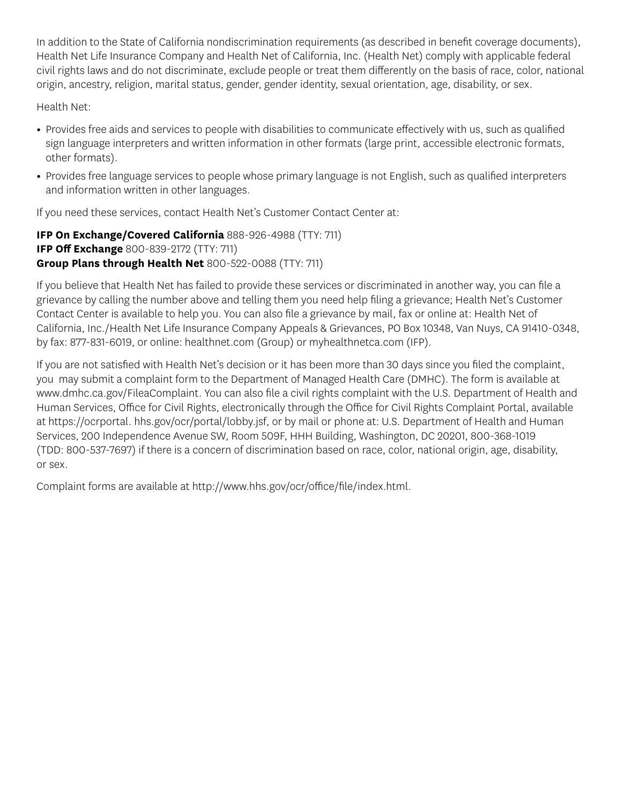In addition to the State of California nondiscrimination requirements (as described in benefit coverage documents), Health Net Life Insurance Company and Health Net of California, Inc. (Health Net) comply with applicable federal civil rights laws and do not discriminate, exclude people or treat them differently on the basis of race, color, national origin, ancestry, religion, marital status, gender, gender identity, sexual orientation, age, disability, or sex.

Health Net:

- Provides free aids and services to people with disabilities to communicate effectively with us, such as qualified sign language interpreters and written information in other formats (large print, accessible electronic formats, other formats).
- Provides free language services to people whose primary language is not English, such as qualified interpreters and information written in other languages.

If you need these services, contact Health Net's Customer Contact Center at:

**IFP On Exchange/Covered California** 888-926-4988 (TTY: 711) **IFP Off Exchange** 800-839-2172 (TTY: 711) **Group Plans through Health Net** 800-522-0088 (TTY: 711)

If you believe that Health Net has failed to provide these services or discriminated in another way, you can file a grievance by calling the number above and telling them you need help filing a grievance; Health Net's Customer Contact Center is available to help you. You can also file a grievance by mail, fax or online at: Health Net of California, Inc./Health Net Life Insurance Company Appeals & Grievances, PO Box 10348, Van Nuys, CA 91410-0348, by fax: 877-831-6019, or online: healthnet.com (Group) or myhealthnetca.com (IFP).

If you are not satisfied with Health Net's decision or it has been more than 30 days since you filed the complaint, you may submit a complaint form to the Department of Managed Health Care (DMHC). The form is available at www.dmhc.ca.gov/FileaComplaint. You can also file a civil rights complaint with the U.S. Department of Health and Human Services, Office for Civil Rights, electronically through the Office for Civil Rights Complaint Portal, available at https://ocrportal. hhs.gov/ocr/portal/lobby.jsf, or by mail or phone at: U.S. Department of Health and Human Services, 200 Independence Avenue SW, Room 509F, HHH Building, Washington, DC 20201, 800-368-1019 (TDD: 800-537-7697) if there is a concern of discrimination based on race, color, national origin, age, disability, or sex.

Complaint forms are available at http://www.hhs.gov/ocr/office/file/index.html.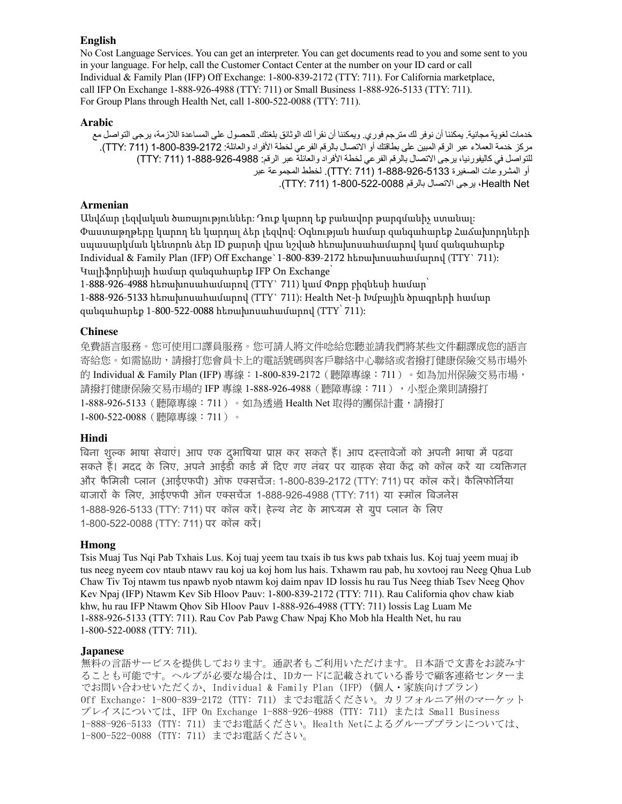#### **English**

 For Group Plans through Health Net, call 1-800-522-0088 (TTY: 711). No Cost Language Services. You can get an interpreter. You can get documents read to you and some sent to you in your language. For help, call the Customer Contact Center at the number on your ID card or call Individual & Family Plan (IFP) Off Exchange: 1-800-839-2172 (TTY: 711). For California marketplace, call IFP On Exchange 1-888-926-4988 (TTY: 711) or Small Business 1-888-926-5133 (TTY: 711).

#### **Arabic**

خدمات لغوية مجانية. يمكننا أن نوفر لك مترجم فوري. ويمكننا أن نقرأ لك الوثائق بلغتك. للحصول على المساعدة اللازمة، يرجى التواصل مع مركز خدمة العملاء عبر الرقم المبين على بطاقتك أو الاتصال بالرقم الفر عي لخطة الأفراد والعائلة: 2172-839-100-1 (711). TTY). للتواصل في كاليفورنيا، يرجي الاتصال بالرقم الفرعي لخطة الأفراد والعائلة عبر الرقم: 4988-926-1688 (TTY: 711) أو المشروعات الصغيرة 1-888-926-5133 )711 :TTY). لخطط المجموعة عبر Net Health، يرجى االتصال بالرقم 1-800-522-0088 )711 :TTY) .

#### **Armenian**

Անվճար լեզվական ծառայություններ: Դուք կարող եք բանավոր թարգմանիչ ստանալ: Փաստաթղթերը կարող են կարդալ ձեր լեզվով: Օգնության համար զանգահարեք Հաճախորդների սպասարկման կենտրոն ձեր ID քարտի վրա նշված հեռախոսահամարով կամ զանգահարեք Individual & Family Plan (IFP) Off Exchange`1-800-839-2172 հեռախոսահամարով (TTY` 711): Կալիֆորնիայի համար զանգահարեք IFP On Exchange՝

1-888-926-4988 հեռախոսահամարով (TTY` 711) կամ Փոքր բիզնեսի համար՝ 1-888-926-5133 հեռախոսահամարով (TTY` 711): Health Net-ի Խմբային ծրագրերի համար զանգահարեք 1-800-522-0088 հեռախոսահամարով (TTY՝ 711):

#### **Chinese**

免費語言服務。您可使用口譯員服務。您可請人將文件唸給您聽並請我們將某些文件翻譯成您的語言 寄給您。如需協助,請撥打您會員卡上的電話號碼與客戶聯絡中心聯絡或者撥打健康保險交易市場外 的 Individual & Family Plan (IFP) 專線:1-800-839-2172(聽障專線:711 )。如為加州保險交易市場, 請撥打健康保險交易市場的 IFP 專線 1-888-926-4988(聽障專線:711),小型企業則請撥打 1-888-926-5133(聽障專線:711)。如為透過 Health Net 取得的團保計畫,請撥打 1-800-522-0088(聽障專線:711)。

#### **Hindi**

बिना शुल्क भाषा सेवाए। आप एक दुभाषिया प्राप्त कर सकते है। आप दस्तावेजों को अपनी भाषा में पढ़वा सकते हैं। मदद के लिए, अपने आईडी कार्ड में दिए गए नंबर पर ग्राहक सेवा केंद्र को कॉल करें या व्यक्तिगत और फैमिली प्लान (आईएफपी) ऑफ एक्सचेंज: 1-800-839-2172 (TTY: 711) पर कॉल करें। कैलिफोर्निया बाजारों के लिए, आईएफपी आँन एक्सचेज 1-888-926-4988 (TTY: 711) या स्मॉल बिजनेस 1-888-926-5133 (TTY: 711) पर कॉल करे। हेल्थ नेट के माध्यम से ग्रुप प्लान के लिए 1-800-522-0088 (TTY: 711) पर कॉल करें। ै ु ै

#### **Hmong**

Tsis Muaj Tus Nqi Pab Txhais Lus. Koj tuaj yeem tau txais ib tus kws pab txhais lus. Koj tuaj yeem muaj ib tus neeg nyeem cov ntaub ntawv rau koj ua koj hom lus hais. Txhawm rau pab, hu xovtooj rau Neeg Qhua Lub Chaw Tiv Toj ntawm tus npawb nyob ntawm koj daim npav ID lossis hu rau Tus Neeg thiab Tsev Neeg Qhov Kev Npaj (IFP) Ntawm Kev Sib Hloov Pauv: 1-800-839-2172 (TTY: 711). Rau California qhov chaw kiab khw, hu rau IFP Ntawm Qhov Sib Hloov Pauv 1-888-926-4988 (TTY: 711) lossis Lag Luam Me 1-888-926-5133 (TTY: 711). Rau Cov Pab Pawg Chaw Npaj Kho Mob hla Health Net, hu rau 1-800-522-0088 (TTY: 711).

#### **Japanese**

無料の言語サービスを提供しております。通訳者もご利用いただけます。日本語で文書をお読みす ることも可能です。ヘルプが必要な場合は、IDカードに記載されている番号で顧客連絡センターま でお問い合わせいただくか、Individual & Family Plan (IFP) (個人・家族向けプラン) Off Exchange: 1-800-839-2172 (TTY: 711) までお電話ください。カリフォルニア州のマーケット プレイスについては、IFP On Exchange 1-888-926-4988 (TTY: 711) または Small Business 1-888-926-5133 (TTY: 711) までお電話ください。Health Netによるグループプランについては、 1-800-522-0088 (TTY: 711) までお電話ください。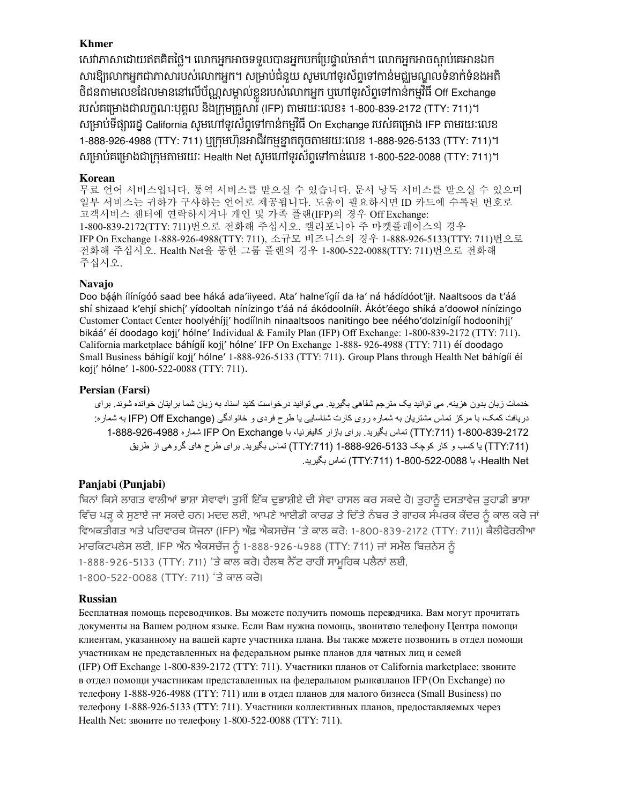# **Khmer**

សោភាសាដោយឥតគតថ្លៃ។ លោកអ្នកអាចទទួលបានអ្នកបកប្រេថ្នាលមាត់។ លោកអ្នកអាចស្ដាប់គេអានឯក សារឱ្យលោកអ្នកជាភាសារបស់លោកអ្នក។ សម្រាប់ជនួយ សូមហោទូរសព្ទទោកានមជ្ឈមណ្ឌលទនាក់ទនងអត ចជនតាមលេខដែលមាននោលេបណ្ណសម្គាលខ្លួនរបស់លោកអ្នក ឬហោទូរសព្វទោកានកម្មវិធី Off Exchange សម្រាប់គម្រោងជាក្រុមតាមរយៈ Health Net សូមហេពទូរសព្ទទោកានលេខ 1-800-522-0088 (TTY: 711)។ សម្រាប់ទផ្សាររដ្ឋ California សូមហោទូរសព្វទោកានកម្មវិធី On Exchange របស់គម្រោង IFP តាមរយៈលេខ របស់គម្រោងជាលក្ខណៈបុគ្គល នងក្រុមគ្រួសារ (IFP) តាមរយៈលេខ៖ 1-800-839-2172 (TTY: 711)។ 1-888-926-4988 (TTY: 711) ឬក្រុមហុនអាជវកម្មខ្នាតតូចតាមរយៈលេខ 1-888-926-5133 (TTY: 711)។ ់ ំ ិ ិ ិ

# **Korean**

고객서비스 센터에 연락하시거나 개인 및 가족 플랜(IFP)의 경우 Off Exchange: 일부 서비스는 귀하가 구사하는 언어로 제공됩니다. 도움이 필요하시면 ID 카드에 수록된 번호로 주십시오. 무료 언어 서비스입니다. 통역 서비스를 받으실 수 있습니다. 문서 낭독 서비스를 받으실 수 있으며 1-800-839-2172(TTY: 711) 번으로 전화해 주십시오. 캘리포니아 주 마켓플레이스의 경우 IFP On Exchange 1-888-926-4988(TTY: 711) , 소규모 비즈니스의 경우 1-888-926-5133(TTY: 711) 번으로 전화해 주십시오. Health Net을 통한 그룹 플랜의 경우 1-800-522-0088(TTY: 711)번으로 전화해

# **Navajo**

Small Business báhígíí koji' hólne' 1-888-926-5133 (TTY: 711). Group Plans through Health Net báhígíí éí kojį' hólne' 1-800-522-0088 (TTY: 711). Doo bááh ílínígóó saad bee háká ada'iiyeed. Ata' halne'ígíí da ła' ná hádídóot'iił. Naaltsoos da t'áá shí shizaad k'ehjí shichí' yídooltah nínízingo t'áá ná ákódoolnííł. Akót'éego shíká a'doowoł nínízingo Customer Contact Center hoolyéhíjj' hodíílnih ninaaltsoos nanitingo bee néého'dolzinígíí hodoonihjj' bikáá' éi doodago kojj' hólne' Individual & Family Plan (IFP) Off Exchange: 1-800-839-2172 (TTY: 711). California marketplace báhígíí kojj' hólne' IFP On Exchange 1-888- 926-4988 (TTY: 711) éí doodago

# **Persian (Farsi)**

خدمات زبان بدون هزينه. می توانيد يک مترجم شفاهی بگيريد. می توانيد درخواست کنيد اسناد به زبان شما برايتان خوانده شوند. برای دريافت کمک، با مرکز تماس مشتريان به شماره روی کارت شناسايی يا طرح فردی و خانوادگی (IFP) Off Exchange به شماره: 1-800-839-2172 ):711TTY يري( تماس بگ د. برای بازار کال ا، با يفرني Exchange On IFP شماره 1-888-926-4988 ):711TTY ي ( ا کسب و کار کوچک 1-888-926-5133 ):711TTY يري( تماس بگ د. برای طرح های گروهی از طر ق ي Health Net با 1-800-522-0088 (TTY:711) تماس بگيريد.

# **Panjabi (Punjabi)**

ਵਿਚ ਪੜ੍ਹ ਕੇ ਸੁਣਾਏ ਜਾ ਸਕਦੇ ਹਨ। ਮਦਦ ਲਈ, ਆਪਣੇ ਆਈਡੀ ਕਾਰਡ ਤੇ ਦਿਤ ਨਬਰ ਤੇ ਗਾਹਕ ਸਪਰਕ ਕੇਂਦਰ ਨੂੰ ਕਾਲ ਕਰ ਜਾਂ ਸ ਲਈ, IFP ਅਨੇ ਅਕਸੂਚਜ ਨੂੰ 1-888-926-4988 (TTY: 711) ਜਾਂ ਸਮੂਲ ਬਿਜ਼ਨਸ ਨੂੰ ਬਿਨਾਂ ਕਿਸੇ ਲਾਗਤ ਵਾਲੀਆਂ ਭਾਸ਼ਾ ਸੇਵਾਵਾਂ। ਤੁਸੀਂ ਇੱਕ ਦੁਭਾਸ਼ੀਏ ਦੀ ਸੇਵਾ ਹਾਸਲ ਕਰ ਸਕਦੇ ਹੋ। ਤੁਹਾਨੂੰ ਦਸਤਾਵੇਜ਼ ਤੁਹਾਡੀ ਭਾਸ਼ਾ ਵਿਅਕਤੀਗਤ ਅਤੇ ਪਰਿਵਾਰਕ ਯੋਜਨਾ (IFP) ਔਫ਼ ਐਕਸਚੇਂਜ 'ਤੇ ਕਾਲ ਕਰੋ: 1-800-839-2172 (TTY: 711)। ਕੈਲੀਫੋਰਨੀਆ ਮਾਰਕਿਟਪਲੇਸ ਲਈ, IFP ਔਨ ਐਕਸਚੇਂਜ ਨੂੰ 1-888-926-4988 (TTY: 711) ਜਾਂ ਸਮੰਲ ਬਿਜ਼ਨੇਸ ਨੂੰ<br>1-888-926-5133 (TTY: 711) 'ਤੇ ਕਾਲ ਕਰੋ। ਹੈਲਥ ਨੈੱਟ ਰਾਹੀਂ ਸਾਮੂਹਿਕ ਪਲੈਨਾਂ ਲਈ, 1-800-522-0088 (TTY: 711) 'ਤੇ ਕਾਲ ਕਰੋ।

# **Russian**

Бесплатная помощь переводчиков. Вы можете получить помощь переводчика. Вам могут прочитать документы на Вашем родном языке. Если Вам нужна помощь, звонитело телефону Центра помощи клиентам, указанному на вашей карте участника плана. Вы также можете позвонить в отдел помощи участникам не представленных на федеральном рынке планов для частных лиц и семей (IFP) Off Exchange 1‑800‑839‑2172 (TTY: 711). Участники планов от California marketplace: звоните в отдел помощи участникам представленных на федеральном рынкепланов IFP (On Exchange) по телефону 1‑888‑926‑4988 (TTY: 711) или в отдел планов для малого бизнеса (Small Business) по телефону 1‑888‑926‑5133 (TTY: 711). Участники коллективных планов, предоставляемых через Health Net: звоните по телефону 1‑800‑522‑0088 (TTY: 711).